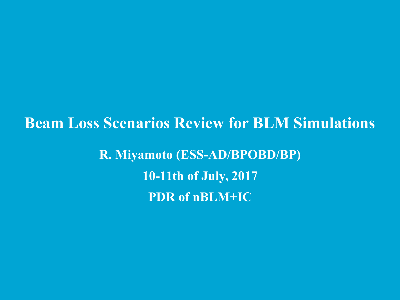**Beam Loss Scenarios Review for BLM Simulations R. Miyamoto (ESS-AD/BPOBD/BP) 10-11th of July, 2017 PDR of nBLM+IC**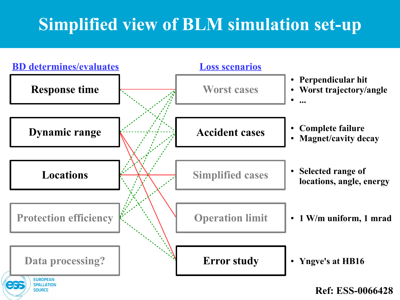# **Simplified view of BLM simulation set-up**

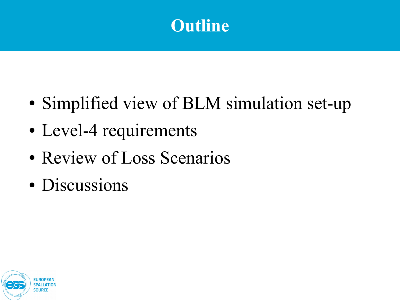

- Simplified view of BLM simulation set-up
- Level-4 requirements
- Review of Loss Scenarios
- Discussions

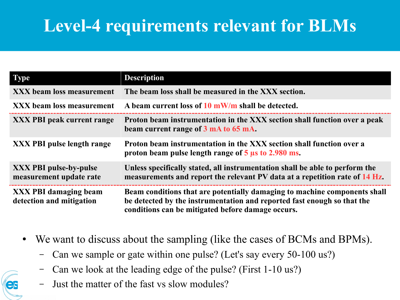## **Level-4 requirements relevant for BLMs**

| <b>Type</b>                                              | <b>Description</b>                                                                                                                                                                                        |  |
|----------------------------------------------------------|-----------------------------------------------------------------------------------------------------------------------------------------------------------------------------------------------------------|--|
| <b>XXX</b> beam loss measurement                         | The beam loss shall be measured in the XXX section.                                                                                                                                                       |  |
| <b>XXX</b> beam loss measurement                         | A beam current loss of $10 \text{ mW/m}$ shall be detected.                                                                                                                                               |  |
| <b>XXX PBI peak current range</b>                        | Proton beam instrumentation in the XXX section shall function over a peak<br>beam current range of 3 mA to 65 mA.                                                                                         |  |
| <b>XXX PBI pulse length range</b>                        | Proton beam instrumentation in the XXX section shall function over a<br>proton beam pulse length range of $5 \mu s$ to 2.980 ms.                                                                          |  |
| <b>XXX PBI pulse-by-pulse</b><br>measurement update rate | Unless specifically stated, all instrumentation shall be able to perform the<br>measurements and report the relevant PV data at a repetition rate of 14 Hz.                                               |  |
| <b>XXX PBI damaging beam</b><br>detection and mitigation | Beam conditions that are potentially damaging to machine components shall<br>be detected by the instrumentation and reported fast enough so that the<br>conditions can be mitigated before damage occurs. |  |

- We want to discuss about the sampling (like the cases of BCMs and BPMs).
	- Can we sample or gate within one pulse? (Let's say every 50-100 us?)
	- Can we look at the leading edge of the pulse? (First 1-10 us?)
	- Just the matter of the fast vs slow modules?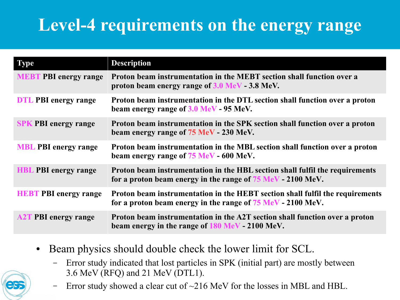## **Level-4 requirements on the energy range**

| <b>Type</b>                  | <b>Description</b>                                                                                                                           |
|------------------------------|----------------------------------------------------------------------------------------------------------------------------------------------|
| <b>MEBT PBI energy range</b> | Proton beam instrumentation in the MEBT section shall function over a<br>proton beam energy range of 3.0 MeV - 3.8 MeV.                      |
| <b>DTL PBI</b> energy range  | Proton beam instrumentation in the DTL section shall function over a proton<br>beam energy range of 3.0 MeV - 95 MeV.                        |
| <b>SPK PBI energy range</b>  | Proton beam instrumentation in the SPK section shall function over a proton<br>beam energy range of 75 MeV - 230 MeV.                        |
| <b>MBL PBI energy range</b>  | Proton beam instrumentation in the MBL section shall function over a proton<br>beam energy range of 75 MeV - 600 MeV.                        |
| <b>HBL PBI</b> energy range  | Proton beam instrumentation in the HBL section shall fulfil the requirements<br>for a proton beam energy in the range of 75 MeV - 2100 MeV.  |
| <b>HEBT PBI energy range</b> | Proton beam instrumentation in the HEBT section shall fulfil the requirements<br>for a proton beam energy in the range of 75 MeV - 2100 MeV. |
| <b>A2T PBI energy range</b>  | Proton beam instrumentation in the A2T section shall function over a proton<br>beam energy in the range of 180 MeV - 2100 MeV.               |

- Beam physics should double check the lower limit for SCL.
	- Error study indicated that lost particles in SPK (initial part) are mostly between 3.6 MeV (RFQ) and 21 MeV (DTL1).
	- Error study showed a clear cut of  $\sim$ 216 MeV for the losses in MBL and HBL.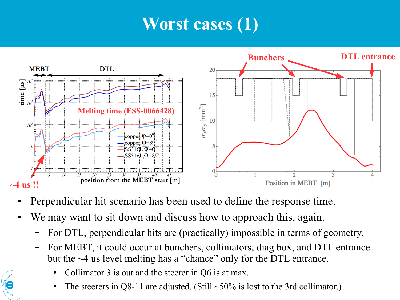## **Worst cases (1)**



- Perpendicular hit scenario has been used to define the response time.
- We may want to sit down and discuss how to approach this, again.
	- For DTL, perpendicular hits are (practically) impossible in terms of geometry.
	- For MEBT, it could occur at bunchers, collimators, diag box, and DTL entrance but the ~4 us level melting has a "chance" only for the DTL entrance.
		- Collimator  $3$  is out and the steerer in  $Q6$  is at max.
		- The steerers in Q8-11 are adjusted. (Still  $\sim$ 50% is lost to the 3rd collimator.)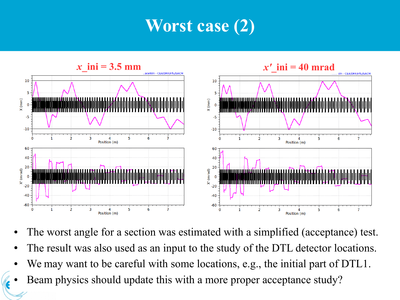## **Worst case (2)**



- The worst angle for a section was estimated with a simplified (acceptance) test.
- The result was also used as an input to the study of the DTL detector locations.
- We may want to be careful with some locations, e.g., the initial part of DTL1.
- Beam physics should update this with a more proper acceptance study?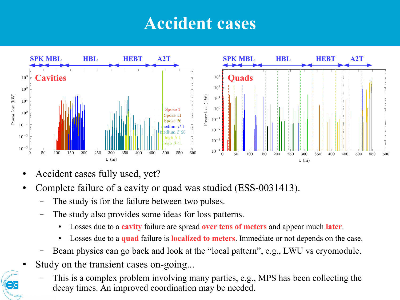#### **Accident cases**



- Accident cases fully used, yet?
- Complete failure of a cavity or quad was studied (ESS-0031413).
	- The study is for the failure between two pulses.
	- The study also provides some ideas for loss patterns.
		- Losses due to a **cavity** failure are spread **over tens of meters** and appear much **later**.
		- Losses due to a **quad** failure is **localized to meters**. Immediate or not depends on the case.
	- Beam physics can go back and look at the "local pattern", e.g., LWU vs cryomodule.
- Study on the transient cases on-going...
	- This is a complex problem involving many parties, e.g., MPS has been collecting the decay times. An improved coordination may be needed.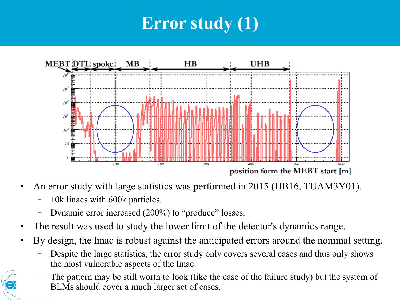# **Error study (1)**



- An error study with large statistics was performed in 2015 (HB16, TUAM3Y01).
	- 10k linacs with 600k particles.
	- Dynamic error increased (200%) to "produce" losses.
- The result was used to study the lower limit of the detector's dynamics range.
- By design, the linac is robust against the anticipated errors around the nominal setting.
	- Despite the large statistics, the error study only covers several cases and thus only shows the most vulnerable aspects of the linac.
	- The pattern may be still worth to look (like the case of the failure study) but the system of BLMs should cover a much larger set of cases.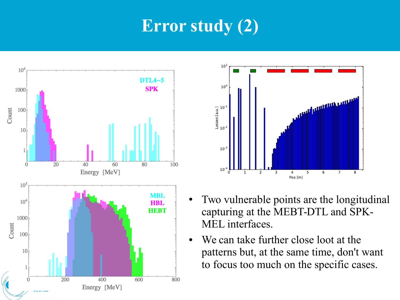## **Error study (2)**





- Two vulnerable points are the longitudinal capturing at the MEBT-DTL and SPK-MEL interfaces.
- We can take further close loot at the patterns but, at the same time, don't want to focus too much on the specific cases.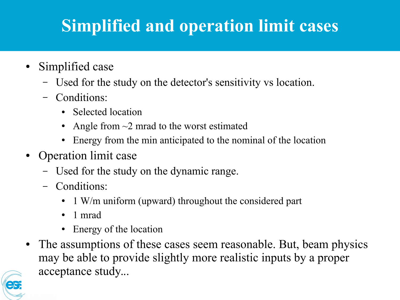# **Simplified and operation limit cases**

- Simplified case
	- Used for the study on the detector's sensitivity vs location.
	- Conditions:
		- Selected location
		- Angle from  $\sim$ 2 mrad to the worst estimated
		- Energy from the min anticipated to the nominal of the location
- Operation limit case
	- Used for the study on the dynamic range.
	- Conditions:
		- 1 W/m uniform (upward) throughout the considered part
		- 1 mrad
		- Energy of the location
- The assumptions of these cases seem reasonable. But, beam physics may be able to provide slightly more realistic inputs by a proper acceptance study...

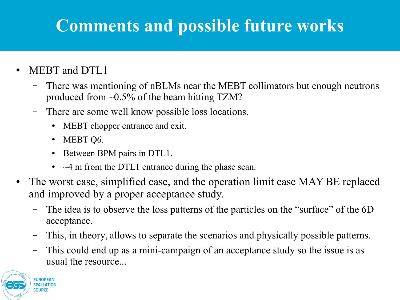## **Comments and possible future works**

- MEBT and DTL1
	- There was mentioning of nBLMs near the MEBT collimators but enough neutrons produced from  $\sim 0.5\%$  of the beam hitting TZM?
	- There are some well know possible loss locations.
		- MEBT chopper entrance and exit.
		- MEBT Q6.
		- Between BPM pairs in DTL1.
		- $\bullet$   $\sim$  4 m from the DTL1 entrance during the phase scan.
- The worst case, simplified case, and the operation limit case MAY BE replaced and improved by a proper acceptance study.
	- The idea is to observe the loss patterns of the particles on the "surface" of the 6D acceptance.
	- This, in theory, allows to separate the scenarios and physically possible patterns.
	- This could end up as a mini-campaign of an acceptance study so the issue is as usual the resource...

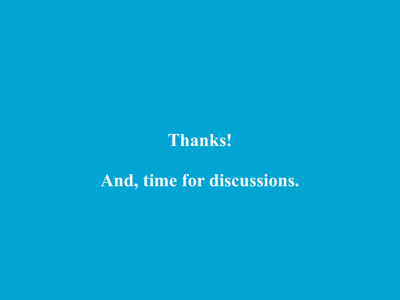#### **Thanks!**

#### **And, time for discussions.**